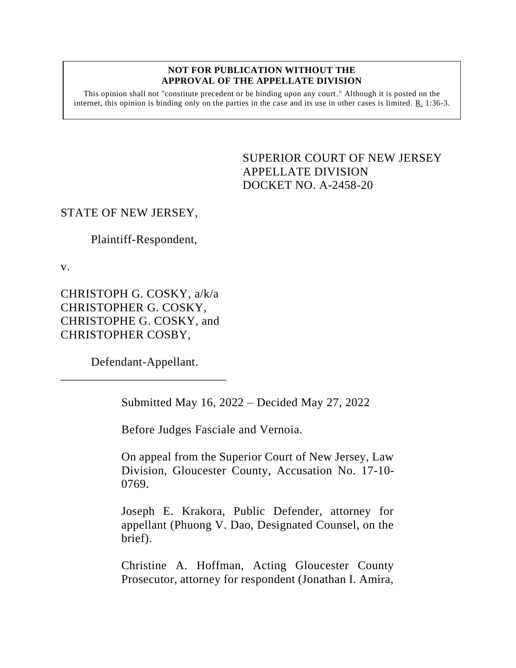#### **NOT FOR PUBLICATION WITHOUT THE APPROVAL OF THE APPELLATE DIVISION**

This opinion shall not "constitute precedent or be binding upon any court." Although it is posted on the internet, this opinion is binding only on the parties in the case and its use in other cases is limited.  $R_1$  1:36-3.

> <span id="page-0-0"></span>SUPERIOR COURT OF NEW JERSEY APPELLATE DIVISION DOCKET NO. A-2458-20

# STATE OF NEW JERSEY,

Plaintiff-Respondent,

v.

CHRISTOPH G. COSKY, a/k/a CHRISTOPHER G. COSKY, CHRISTOPHE G. COSKY, and CHRISTOPHER COSBY,

Defendant-Appellant. \_\_\_\_\_\_\_\_\_\_\_\_\_\_\_\_\_\_\_\_\_\_\_\_\_\_\_

Submitted May 16, 2022 – Decided May 27, 2022

Before Judges Fasciale and Vernoia.

On appeal from the Superior Court of New Jersey, Law Division, Gloucester County, Accusation No. 17-10- 0769.

Joseph E. Krakora, Public Defender, attorney for appellant (Phuong V. Dao, Designated Counsel, on the brief).

Christine A. Hoffman, Acting Gloucester County Prosecutor, attorney for respondent (Jonathan I. Amira,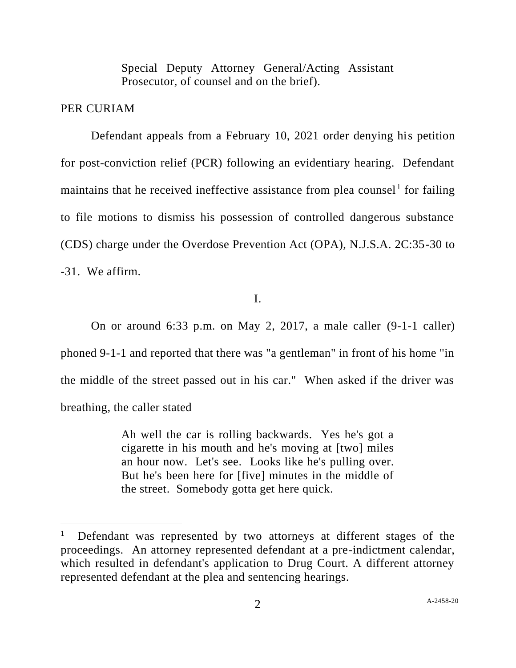Special Deputy Attorney General/Acting Assistant Prosecutor, of counsel and on the brief).

# PER CURIAM

Defendant appeals from a February 10, 2021 order denying his petition for post-conviction relief (PCR) following an evidentiary hearing. Defendant maintains that he received ineffective assistance from plea counsel<sup>1</sup> for failing to file motions to dismiss his possession of controlled dangerous substance (CDS) charge under the Overdose Prevention Act (OPA), N.J.S.A. 2C:35-30 to -31. We affirm.

I.

On or around 6:33 p.m. on May 2, 2017, a male caller (9-1-1 caller) phoned 9-1-1 and reported that there was "a gentleman" in front of his home "in the middle of the street passed out in his car." When asked if the driver was breathing, the caller stated

> Ah well the car is rolling backwards. Yes he's got a cigarette in his mouth and he's moving at [two] miles an hour now. Let's see. Looks like he's pulling over. But he's been here for [five] minutes in the middle of the street. Somebody gotta get here quick.

<sup>1</sup> Defendant was represented by two attorneys at different stages of the proceedings. An attorney represented defendant at a pre-indictment calendar, which resulted in defendant's application to Drug Court. A different attorney represented defendant at the plea and sentencing hearings.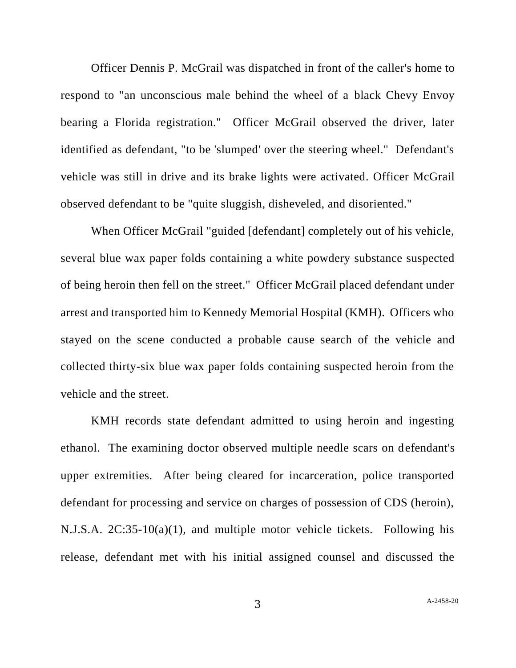Officer Dennis P. McGrail was dispatched in front of the caller's home to respond to "an unconscious male behind the wheel of a black Chevy Envoy bearing a Florida registration." Officer McGrail observed the driver, later identified as defendant, "to be 'slumped' over the steering wheel." Defendant's vehicle was still in drive and its brake lights were activated. Officer McGrail observed defendant to be "quite sluggish, disheveled, and disoriented."

When Officer McGrail "guided [defendant] completely out of his vehicle, several blue wax paper folds containing a white powdery substance suspected of being heroin then fell on the street." Officer McGrail placed defendant under arrest and transported him to Kennedy Memorial Hospital (KMH). Officers who stayed on the scene conducted a probable cause search of the vehicle and collected thirty-six blue wax paper folds containing suspected heroin from the vehicle and the street.

KMH records state defendant admitted to using heroin and ingesting ethanol. The examining doctor observed multiple needle scars on defendant's upper extremities. After being cleared for incarceration, police transported defendant for processing and service on charges of possession of CDS (heroin), N.J.S.A. 2C:35-10(a)(1), and multiple motor vehicle tickets. Following his release, defendant met with his initial assigned counsel and discussed the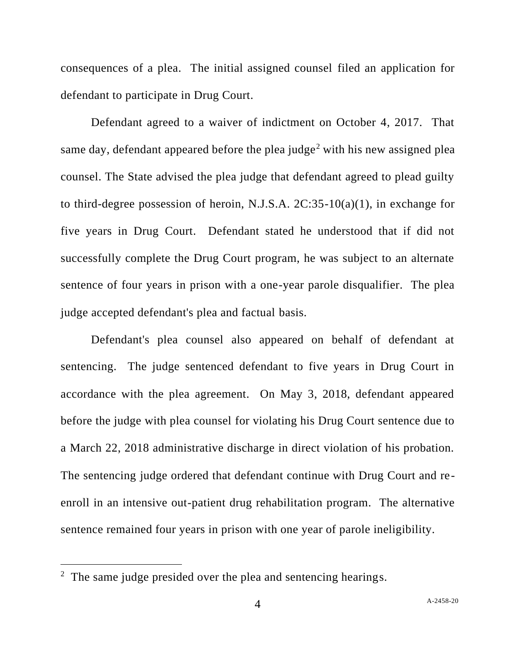consequences of a plea. The initial assigned counsel filed an application for defendant to participate in Drug Court.

Defendant agreed to a waiver of indictment on October 4, 2017. That same day, defendant appeared before the plea judge<sup>2</sup> with his new assigned plea counsel. The State advised the plea judge that defendant agreed to plead guilty to third-degree possession of heroin, N.J.S.A. 2C:35-10(a)(1), in exchange for five years in Drug Court. Defendant stated he understood that if did not successfully complete the Drug Court program, he was subject to an alternate sentence of four years in prison with a one-year parole disqualifier. The plea judge accepted defendant's plea and factual basis.

Defendant's plea counsel also appeared on behalf of defendant at sentencing. The judge sentenced defendant to five years in Drug Court in accordance with the plea agreement. On May 3, 2018, defendant appeared before the judge with plea counsel for violating his Drug Court sentence due to a March 22, 2018 administrative discharge in direct violation of his probation. The sentencing judge ordered that defendant continue with Drug Court and reenroll in an intensive out-patient drug rehabilitation program. The alternative sentence remained four years in prison with one year of parole ineligibility.

<sup>&</sup>lt;sup>2</sup> The same judge presided over the plea and sentencing hearings.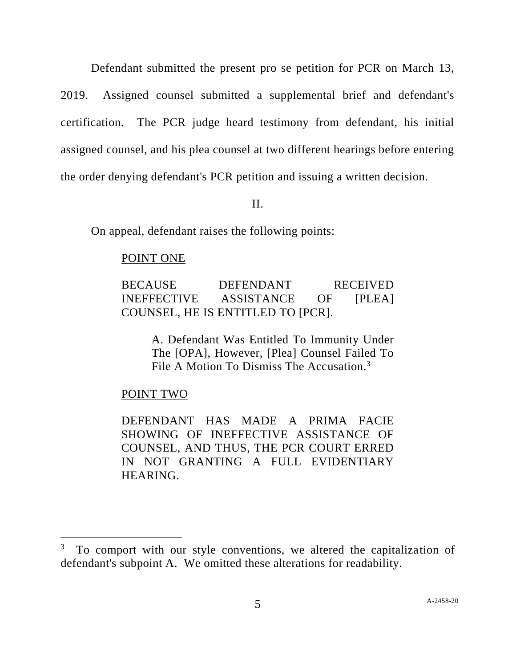Defendant submitted the present pro se petition for PCR on March 13, 2019. Assigned counsel submitted a supplemental brief and defendant's certification. The PCR judge heard testimony from defendant, his initial assigned counsel, and his plea counsel at two different hearings before entering the order denying defendant's PCR petition and issuing a written decision.

### II.

On appeal, defendant raises the following points:

### POINT ONE

BECAUSE DEFENDANT RECEIVED INEFFECTIVE ASSISTANCE OF [PLEA] COUNSEL, HE IS ENTITLED TO [PCR].

> A. Defendant Was Entitled To Immunity Under The [OPA], However, [Plea] Counsel Failed To File A Motion To Dismiss The Accusation.<sup>3</sup>

# POINT TWO

DEFENDANT HAS MADE A PRIMA FACIE SHOWING OF INEFFECTIVE ASSISTANCE OF COUNSEL, AND THUS, THE PCR COURT ERRED IN NOT GRANTING A FULL EVIDENTIARY HEARING.

<sup>3</sup> To comport with our style conventions, we altered the capitalization of defendant's subpoint A. We omitted these alterations for readability.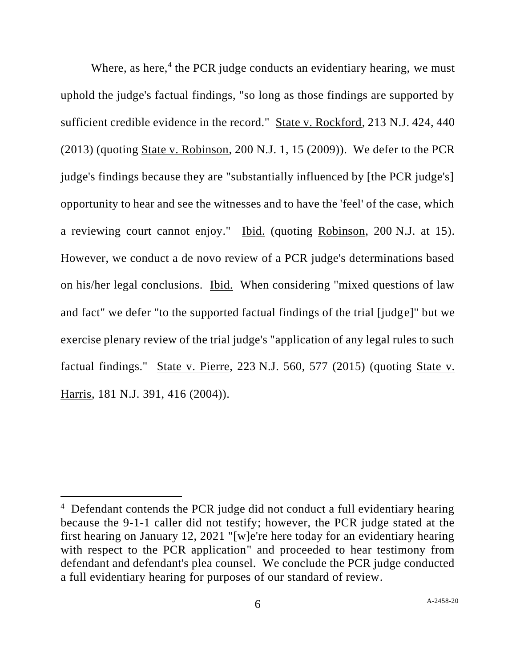Where, as here, $4$  the PCR judge conducts an evidentiary hearing, we must uphold the judge's factual findings, "so long as those findings are supported by sufficient credible evidence in the record." State v. Rockford, 213 N.J. 424, 440 (2013) (quoting State v. Robinson, 200 N.J. 1, 15 (2009)). We defer to the PCR judge's findings because they are "substantially influenced by [the PCR judge's] opportunity to hear and see the witnesses and to have the 'feel' of the case, which a reviewing court cannot enjoy." Ibid. (quoting Robinson, 200 N.J. at 15). However, we conduct a de novo review of a PCR judge's determinations based on his/her legal conclusions. Ibid. When considering "mixed questions of law and fact" we defer "to the supported factual findings of the trial [judge]" but we exercise plenary review of the trial judge's "application of any legal rules to such factual findings." State v. Pierre, 223 N.J. 560, 577 (2015) (quoting State v. Harris, 181 N.J. 391, 416 (2004)).

<sup>&</sup>lt;sup>4</sup> Defendant contends the PCR judge did not conduct a full evidentiary hearing because the 9-1-1 caller did not testify; however, the PCR judge stated at the first hearing on January 12, 2021 "[w]e're here today for an evidentiary hearing with respect to the PCR application" and proceeded to hear testimony from defendant and defendant's plea counsel. We conclude the PCR judge conducted a full evidentiary hearing for purposes of our standard of review.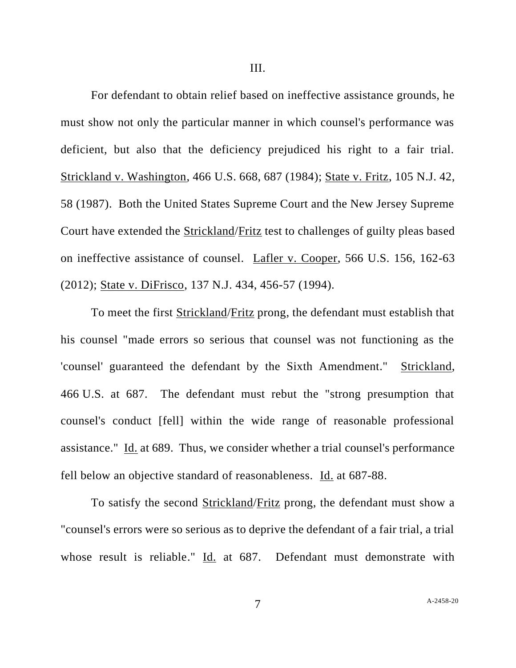For defendant to obtain relief based on ineffective assistance grounds, he must show not only the particular manner in which counsel's performance was deficient, but also that the deficiency prejudiced his right to a fair trial. Strickland v. Washington, 466 U.S. 668, 687 (1984); State v. Fritz, 105 N.J. 42, 58 (1987). Both the United States Supreme Court and the New Jersey Supreme Court have extended the Strickland/Fritz test to challenges of guilty pleas based on ineffective assistance of counsel. Lafler v. Cooper, 566 U.S. 156, 162-63 (2012); State v. DiFrisco, 137 N.J. 434, 456-57 (1994).

To meet the first Strickland/Fritz prong, the defendant must establish that his counsel "made errors so serious that counsel was not functioning as the 'counsel' guaranteed the defendant by the Sixth Amendment." Strickland, 466 U.S. at 687. The defendant must rebut the "strong presumption that counsel's conduct [fell] within the wide range of reasonable professional assistance." Id. at 689. Thus, we consider whether a trial counsel's performance fell below an objective standard of reasonableness. Id. at 687-88.

To satisfy the second Strickland/Fritz prong, the defendant must show a "counsel's errors were so serious as to deprive the defendant of a fair trial, a trial whose result is reliable." Id. at 687. Defendant must demonstrate with

7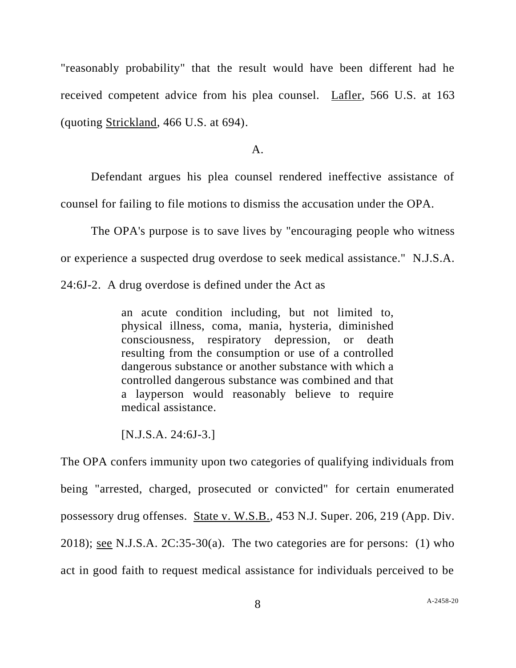"reasonably probability" that the result would have been different had he received competent advice from his plea counsel. Lafler, 566 U.S. at 163 (quoting Strickland, 466 U.S. at 694).

#### $A<sub>1</sub>$

Defendant argues his plea counsel rendered ineffective assistance of counsel for failing to file motions to dismiss the accusation under the OPA.

The OPA's purpose is to save lives by "encouraging people who witness or experience a suspected drug overdose to seek medical assistance." N.J.S.A.

24:6J-2. A drug overdose is defined under the Act as

an acute condition including, but not limited to, physical illness, coma, mania, hysteria, diminished consciousness, respiratory depression, or death resulting from the consumption or use of a controlled dangerous substance or another substance with which a controlled dangerous substance was combined and that a layperson would reasonably believe to require medical assistance.

[N.J.S.A. 24:6J-3.]

The OPA confers immunity upon two categories of qualifying individuals from being "arrested, charged, prosecuted or convicted" for certain enumerated possessory drug offenses. State v. W.S.B., 453 N.J. Super. 206, 219 (App. Div. 2018); see N.J.S.A.  $2C:35-30(a)$ . The two categories are for persons: (1) who act in good faith to request medical assistance for individuals perceived to be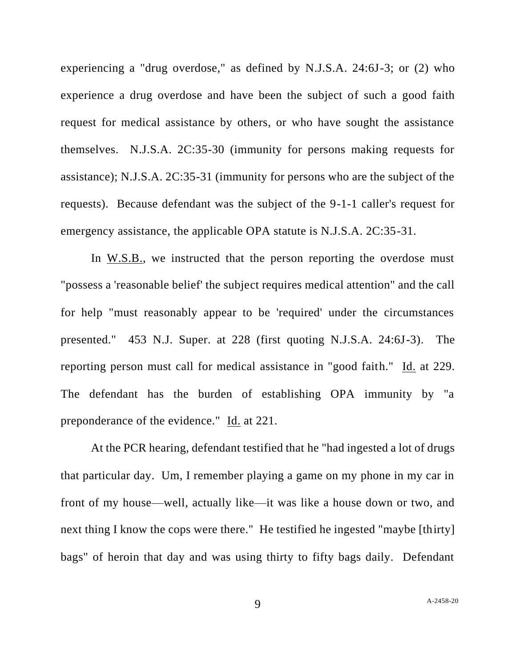experiencing a "drug overdose," as defined by N.J.S.A. 24:6J-3; or (2) who experience a drug overdose and have been the subject of such a good faith request for medical assistance by others, or who have sought the assistance themselves. N.J.S.A. 2C:35-30 (immunity for persons making requests for assistance); N.J.S.A. 2C:35-31 (immunity for persons who are the subject of the requests). Because defendant was the subject of the 9-1-1 caller's request for emergency assistance, the applicable OPA statute is N.J.S.A. 2C:35-31.

In W.S.B., we instructed that the person reporting the overdose must "possess a 'reasonable belief' the subject requires medical attention" and the call for help "must reasonably appear to be 'required' under the circumstances presented." 453 N.J. Super. at 228 (first quoting N.J.S.A. 24:6J-3). The reporting person must call for medical assistance in "good faith." Id. at 229. The defendant has the burden of establishing OPA immunity by "a preponderance of the evidence." Id. at 221.

At the PCR hearing, defendant testified that he "had ingested a lot of drugs that particular day. Um, I remember playing a game on my phone in my car in front of my house—well, actually like—it was like a house down or two, and next thing I know the cops were there." He testified he ingested "maybe [thirty] bags" of heroin that day and was using thirty to fifty bags daily. Defendant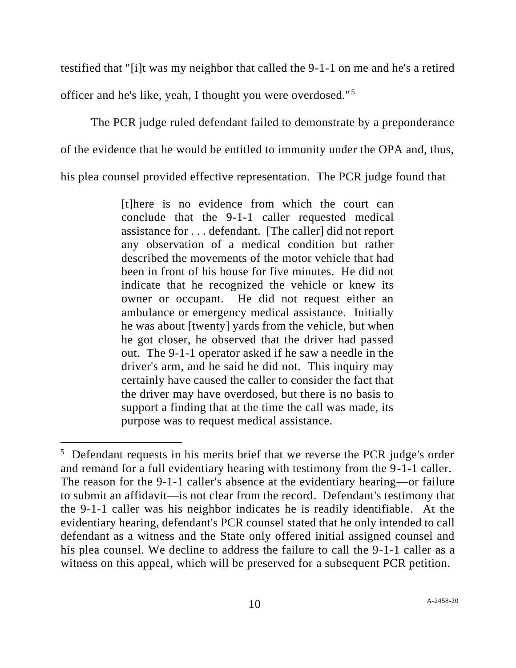testified that "[i]t was my neighbor that called the 9-1-1 on me and he's a retired officer and he's like, yeah, I thought you were overdosed."<sup>5</sup>

The PCR judge ruled defendant failed to demonstrate by a preponderance of the evidence that he would be entitled to immunity under the OPA and, thus, his plea counsel provided effective representation. The PCR judge found that

> [t]here is no evidence from which the court can conclude that the 9-1-1 caller requested medical assistance for . . . defendant. [The caller] did not report any observation of a medical condition but rather described the movements of the motor vehicle that had been in front of his house for five minutes. He did not indicate that he recognized the vehicle or knew its owner or occupant. He did not request either an ambulance or emergency medical assistance. Initially he was about [twenty] yards from the vehicle, but when he got closer, he observed that the driver had passed out. The 9-1-1 operator asked if he saw a needle in the driver's arm, and he said he did not. This inquiry may certainly have caused the caller to consider the fact that the driver may have overdosed, but there is no basis to support a finding that at the time the call was made, its purpose was to request medical assistance.

<sup>&</sup>lt;sup>5</sup> Defendant requests in his merits brief that we reverse the PCR judge's order and remand for a full evidentiary hearing with testimony from the 9-1-1 caller. The reason for the 9-1-1 caller's absence at the evidentiary hearing—or failure to submit an affidavit—is not clear from the record. Defendant's testimony that the 9-1-1 caller was his neighbor indicates he is readily identifiable. At the evidentiary hearing, defendant's PCR counsel stated that he only intended to call defendant as a witness and the State only offered initial assigned counsel and his plea counsel. We decline to address the failure to call the 9-1-1 caller as a witness on this appeal, which will be preserved for a subsequent PCR petition.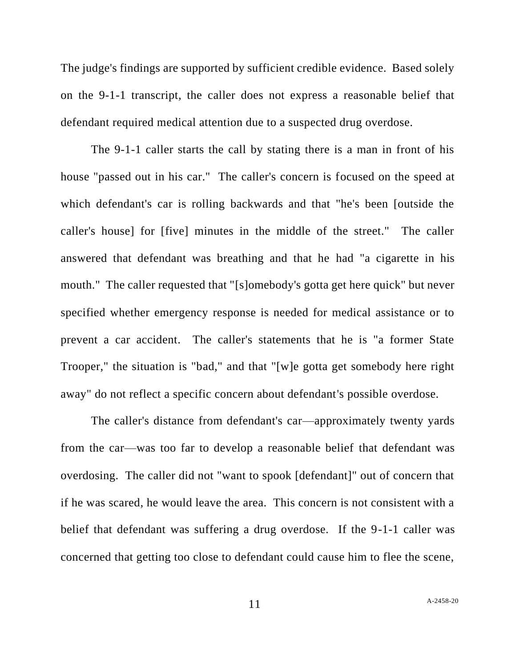The judge's findings are supported by sufficient credible evidence. Based solely on the 9-1-1 transcript, the caller does not express a reasonable belief that defendant required medical attention due to a suspected drug overdose.

The 9-1-1 caller starts the call by stating there is a man in front of his house "passed out in his car." The caller's concern is focused on the speed at which defendant's car is rolling backwards and that "he's been [outside the caller's house] for [five] minutes in the middle of the street." The caller answered that defendant was breathing and that he had "a cigarette in his mouth." The caller requested that "[s]omebody's gotta get here quick" but never specified whether emergency response is needed for medical assistance or to prevent a car accident. The caller's statements that he is "a former State Trooper," the situation is "bad," and that "[w]e gotta get somebody here right away" do not reflect a specific concern about defendant's possible overdose.

The caller's distance from defendant's car—approximately twenty yards from the car—was too far to develop a reasonable belief that defendant was overdosing. The caller did not "want to spook [defendant]" out of concern that if he was scared, he would leave the area. This concern is not consistent with a belief that defendant was suffering a drug overdose. If the 9-1-1 caller was concerned that getting too close to defendant could cause him to flee the scene,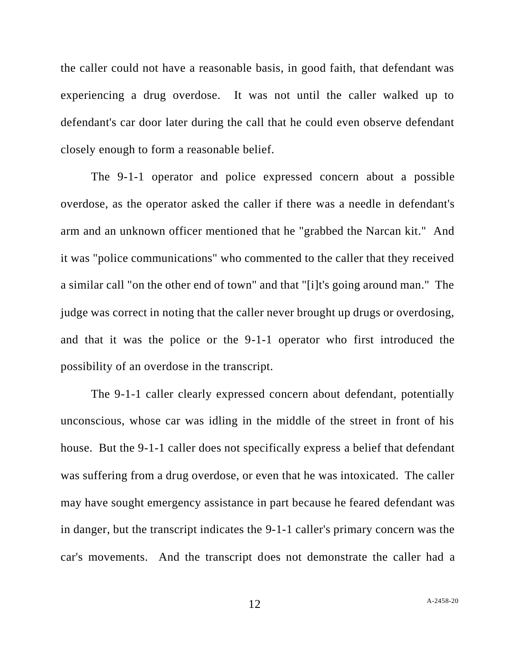the caller could not have a reasonable basis, in good faith, that defendant was experiencing a drug overdose. It was not until the caller walked up to defendant's car door later during the call that he could even observe defendant closely enough to form a reasonable belief.

The 9-1-1 operator and police expressed concern about a possible overdose, as the operator asked the caller if there was a needle in defendant's arm and an unknown officer mentioned that he "grabbed the Narcan kit." And it was "police communications" who commented to the caller that they received a similar call "on the other end of town" and that "[i]t's going around man." The judge was correct in noting that the caller never brought up drugs or overdosing, and that it was the police or the 9-1-1 operator who first introduced the possibility of an overdose in the transcript.

The 9-1-1 caller clearly expressed concern about defendant, potentially unconscious, whose car was idling in the middle of the street in front of his house. But the 9-1-1 caller does not specifically express a belief that defendant was suffering from a drug overdose, or even that he was intoxicated. The caller may have sought emergency assistance in part because he feared defendant was in danger, but the transcript indicates the 9-1-1 caller's primary concern was the car's movements. And the transcript does not demonstrate the caller had a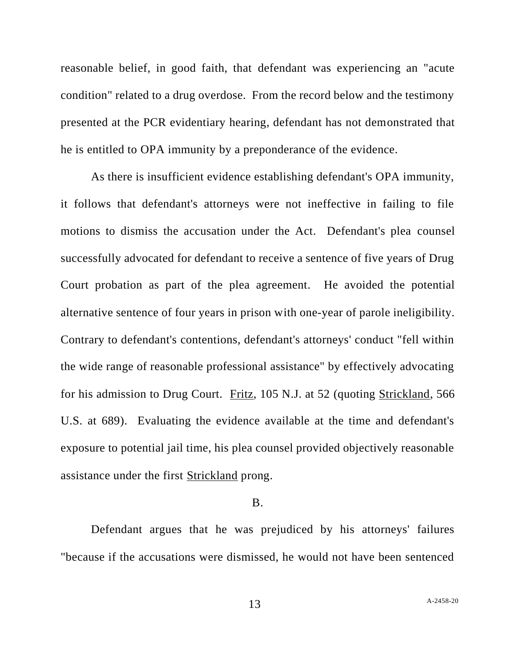reasonable belief, in good faith, that defendant was experiencing an "acute condition" related to a drug overdose. From the record below and the testimony presented at the PCR evidentiary hearing, defendant has not demonstrated that he is entitled to OPA immunity by a preponderance of the evidence.

As there is insufficient evidence establishing defendant's OPA immunity, it follows that defendant's attorneys were not ineffective in failing to file motions to dismiss the accusation under the Act. Defendant's plea counsel successfully advocated for defendant to receive a sentence of five years of Drug Court probation as part of the plea agreement. He avoided the potential alternative sentence of four years in prison with one-year of parole ineligibility. Contrary to defendant's contentions, defendant's attorneys' conduct "fell within the wide range of reasonable professional assistance" by effectively advocating for his admission to Drug Court. Fritz, 105 N.J. at 52 (quoting Strickland, 566 U.S. at 689). Evaluating the evidence available at the time and defendant's exposure to potential jail time, his plea counsel provided objectively reasonable assistance under the first Strickland prong.

### B.

Defendant argues that he was prejudiced by his attorneys' failures "because if the accusations were dismissed, he would not have been sentenced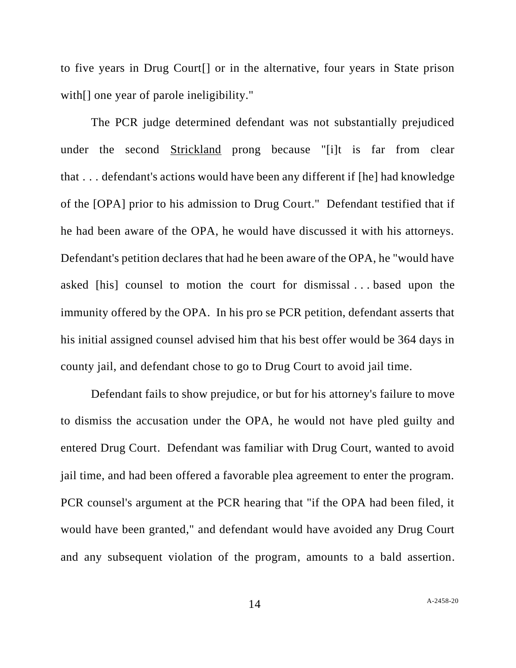to five years in Drug Court[] or in the alternative, four years in State prison with<sup>[]</sup> one year of parole ineligibility."

The PCR judge determined defendant was not substantially prejudiced under the second Strickland prong because "[i]t is far from clear that . . . defendant's actions would have been any different if [he] had knowledge of the [OPA] prior to his admission to Drug Court." Defendant testified that if he had been aware of the OPA, he would have discussed it with his attorneys. Defendant's petition declares that had he been aware of the OPA, he "would have asked [his] counsel to motion the court for dismissal . . . based upon the immunity offered by the OPA. In his pro se PCR petition, defendant asserts that his initial assigned counsel advised him that his best offer would be 364 days in county jail, and defendant chose to go to Drug Court to avoid jail time.

Defendant fails to show prejudice, or but for his attorney's failure to move to dismiss the accusation under the OPA, he would not have pled guilty and entered Drug Court. Defendant was familiar with Drug Court, wanted to avoid jail time, and had been offered a favorable plea agreement to enter the program. PCR counsel's argument at the PCR hearing that "if the OPA had been filed, it would have been granted," and defendant would have avoided any Drug Court and any subsequent violation of the program, amounts to a bald assertion.